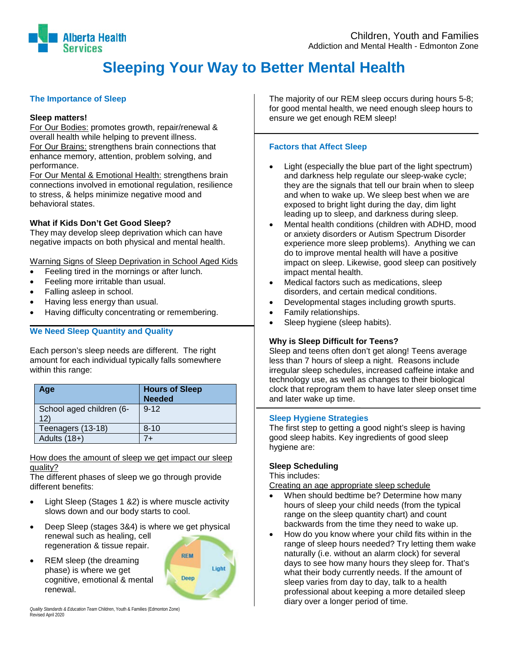

# **Sleeping Your Way to Better Mental Health**

# **The Importance of Sleep**

#### **Sleep matters!**

For Our Bodies: promotes growth, repair/renewal & overall health while helping to prevent illness. For Our Brains: strengthens brain connections that enhance memory, attention, problem solving, and performance.

For Our Mental & Emotional Health: strengthens brain connections involved in emotional regulation, resilience to stress, & helps minimize negative mood and behavioral states.

# **What if Kids Don't Get Good Sleep?**

They may develop sleep deprivation which can have negative impacts on both physical and mental health.

Warning Signs of Sleep Deprivation in School Aged Kids

- Feeling tired in the mornings or after lunch.
- Feeling more irritable than usual.
- Falling asleep in school.
- Having less energy than usual.
- Having difficulty concentrating or remembering.

# **We Need Sleep Quantity and Quality**

Each person's sleep needs are different. The right amount for each individual typically falls somewhere within this range:

| Age                             | <b>Hours of Sleep</b><br><b>Needed</b> |
|---------------------------------|----------------------------------------|
| School aged children (6-<br>12) | $9 - 12$                               |
| Teenagers (13-18)               | $8 - 10$                               |
| Adults (18+)                    |                                        |

#### How does the amount of sleep we get impact our sleep quality?

The different phases of sleep we go through provide different benefits:

- Light Sleep (Stages 1 &2) is where muscle activity slows down and our body starts to cool.
- Deep Sleep (stages 3&4) is where we get physical renewal such as healing, cell regeneration & tissue repair.
- REM sleep (the dreaming phase) is where we get cognitive, emotional & mental renewal.



*Quality Standards & Education Team* Children, Youth & Families (Edmonton Zone) Revised April 2020

The majority of our REM sleep occurs during hours 5-8; for good mental health, we need enough sleep hours to ensure we get enough REM sleep!

# **Factors that Affect Sleep**

- Light (especially the blue part of the light spectrum) and darkness help regulate our sleep-wake cycle; they are the signals that tell our brain when to sleep and when to wake up. We sleep best when we are exposed to bright light during the day, dim light leading up to sleep, and darkness during sleep.
- Mental health conditions (children with ADHD, mood or anxiety disorders or Autism Spectrum Disorder experience more sleep problems). Anything we can do to improve mental health will have a positive impact on sleep. Likewise, good sleep can positively impact mental health.
- Medical factors such as medications, sleep disorders, and certain medical conditions.
- Developmental stages including growth spurts.
- Family relationships.
- Sleep hygiene (sleep habits).

# **Why is Sleep Difficult for Teens?**

Sleep and teens often don't get along! Teens average less than 7 hours of sleep a night. Reasons include irregular sleep schedules, increased caffeine intake and technology use, as well as changes to their biological clock that reprogram them to have later sleep onset time and later wake up time.

#### **Sleep Hygiene Strategies**

The first step to getting a good night's sleep is having good sleep habits. Key ingredients of good sleep hygiene are:

#### **Sleep Scheduling**

This includes:

Creating an age appropriate sleep schedule

- When should bedtime be? Determine how many hours of sleep your child needs (from the typical range on the sleep quantity chart) and count backwards from the time they need to wake up.
- How do you know where your child fits within in the range of sleep hours needed? Try letting them wake naturally (i.e. without an alarm clock) for several days to see how many hours they sleep for. That's what their body currently needs. If the amount of sleep varies from day to day, talk to a health professional about keeping a more detailed sleep diary over a longer period of time.